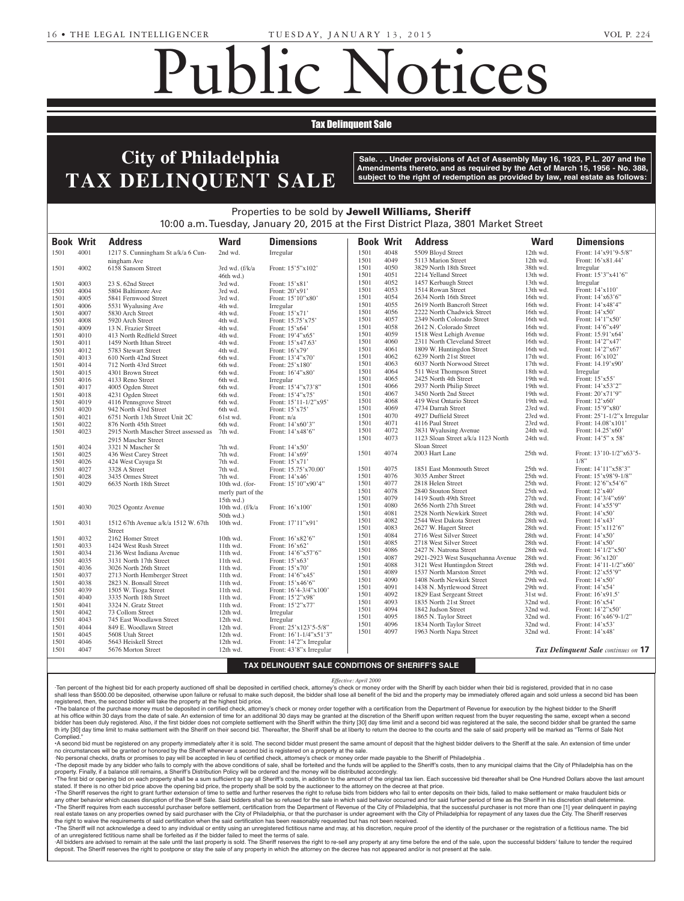Para 1910 - 1910

# Public Notices

## Tax Delinquent Sale

#### **NOTICE TO CALCE TO COUNSEL TAX DELINQUENT SALE**  $\mathcal{L}_{\mathcal{A}}$ Section 31 of the Probable 316 Esta de Vidu  $\sim$  30, 1972 (Act No. 164) f Dhiladalnhia r Filhaueiphia Kramer, Executors, c/o Seamus  $M\bigcap_{i=1}^n I$  in the  $i$ INUUENT N NO. 1898 AI OF 2014 AI OF 2014 AI OF 2014 AI OF 2014 AI OF 2014 AI OF 2014 AI OF 2014 AI OF 2014 AI OF 2014 AI

Sale. . . Under provisions of Act of Assembly May 16, 1923, P.L. 207 and the **Amendments thereto, and as required by the Act of March 15, 1956 - No. 388,**  $\blacktriangle$   $\blacksquare$   $\blacksquare$   $\blacksquare$  subject to the right of redemption as provided by law, real estate as follows: PHILADELPHIA COUNTY COUNTY OF SAIL COUNTY OF SAIL COUNTY OF SAIL COUNTY OF SAIL COUNTY AND A SAIL COUNTY OF SA<br>PAID OF SAIL COUNTY OF SAIL COUNTY OF SAIL COUNTY OF SAIL COUNTY OF SAIL COUNTY OF SAIL COUNTY OF SAIL COUNTY **Accomply Mov 16, 100** IN ASSEMBLY MAY TO, TYZO, P NO. 2014-18042

Miscellaneous Notices

#### Properties to be sold by Jewell Williams, Sheriff 10:00 a.m. Tuesday, January 20, 2015 at the First District Plaza, 3801 Market Street of grant of letters to contain **A** Properties to be sold by **Jewell** be sold by **Jewell Willi** at the  $\blacksquare$ **CARLTON C. CROOM, Defendant** t Plaza, 3801 Market Street  $31$ , 1928, 2001. In Dividence under Section in Dividendial section in Dividendial Section 1

| <b>Book Writ</b> |      | <b>Address</b>                        | <b>Ward</b>        | <b>Dimensions</b>                                | <b>Book Writ</b> |      | <b>Address</b>                                 | <b>Ward</b> | <b>Dimensions</b>                   |
|------------------|------|---------------------------------------|--------------------|--------------------------------------------------|------------------|------|------------------------------------------------|-------------|-------------------------------------|
| 1501             | 4001 | 1217 S. Cunningham St a/k/a 6 Cun-    | 2nd wd.            | Irregular                                        | 1501             | 4048 | 5509 Bloyd Street                              | 12th wd.    | Front: 14'x91'9-5/8"                |
|                  |      | ningham Ave                           |                    |                                                  | 1501             | 4049 | 5113 Marion Street                             | 12th wd.    | Front: 16'x81.44'                   |
| 1501             | 4002 | 6158 Sansom Street                    | 3rd wd. (f/k/a     | Front: 15'5"x102'                                | 1501             | 4050 | 3829 North 18th Street                         | 38th wd.    | Irregular                           |
|                  |      |                                       | $46th$ wd.)        |                                                  | 1501             | 4051 | 2214 Yelland Street                            | 13th wd.    | Front: 15'3"x41'6"                  |
| 1501             | 4003 | 23 S. 62nd Street                     | 3rd wd.            | Front: 15'x81'                                   | 1501             | 4052 | 1457 Kerbaugh Street                           | 13th wd.    | Irregular                           |
| 1501             | 4004 | 5804 Baltimore Ave                    | 3rd wd.            | Front: 20'x91'                                   | 1501             | 4053 | 1514 Rowan Street                              | 13th wd.    | Front: 14'x110'                     |
| 1501             | 4005 | 5841 Fernwood Street                  | 3rd wd.            | Front: 15'10"x80'                                | 1501             | 4054 | 2634 North 16th Street                         | 16th wd.    | Front: 14'x63'6"                    |
| 1501             | 4006 | 5531 Wyalusing Ave                    | 4th wd.            | Irregular                                        | 1501             | 4055 | 2619 North Bancroft Street                     | 16th wd.    | Front: 14'x48'4"                    |
| 1501             | 4007 | 5830 Arch Street                      | 4th wd.            | Front: 15'x71'                                   | 1501             | 4056 | 2222 North Chadwick Street                     | 16th wd.    | Front: 14'x50'                      |
| 1501             | 4008 | 5920 Arch Street                      | 4th wd.            | Front: 15.75'x75'                                | 1501             | 4057 | 2349 North Colorado Street                     | 16th wd.    | Front: 14'1"x50'                    |
| 1501             | 4009 | 13 N. Frazier Street                  | 4th wd.            | Front: 15'x64'                                   | 1501             | 4058 | 2612 N. Colorado Street                        | 16th wd.    | Front: 14'6"x49'                    |
| 1501             | 4010 | 413 North Redfield Street             | 4th wd.            | Front: 19'4"x65'                                 | 1501             | 4059 | 1518 West Lehigh Avenue                        | 16th wd.    | Front: 15.91'x64'                   |
| 1501             | 4011 | 1459 North Ithan Street               | 4th wd.            | Front: 15'x47.63'                                | 1501             | 4060 | 2311 North Cleveland Street                    | 16th wd.    | Front: 14'2"x47'                    |
| 1501             | 4012 | 5783 Stewart Street                   | 4th wd.            | Front: 16'x79'                                   | 1501             | 4061 | 1809 W. Huntingdon Street                      | 16th wd.    | Front: 14'2"x67'                    |
| 1501             | 4013 | 610 North 42nd Street                 | 6th wd.            | Front: 13'4"x70'                                 | 1501             | 4062 | 6239 North 21st Street                         | 17th wd.    | Front: 16'x102'                     |
| 1501             | 4014 | 712 North 43rd Street                 | 6th wd.            | Front: 25'x180'                                  | 1501             | 4063 | 6037 North Norwood Street                      | 17th wd.    | Front: 14.19'x90'                   |
| 1501             | 4015 | 4301 Brown Street                     | 6th wd.            | Front: 16'4"x80'                                 | 1501             | 4064 | 511 West Thompson Street                       | 18th wd.    | Irregular                           |
| 1501             | 4016 | 4133 Reno Street                      | 6th wd.            | Irregular                                        | 1501             | 4065 | 2425 North 4th Street                          | 19th wd.    | Front: 15'x55'                      |
| 1501             | 4017 | 4005 Ogden Street                     | 6th wd.            | Front: 15'4"x73'8"                               | 1501             | 4066 | 2937 North Philip Street                       | 19th wd.    | Front: 14'x53'2"                    |
| 1501             | 4018 | 4231 Ogden Street                     | 6th wd.            | Front: 15'4"x75'                                 | 1501             | 4067 | 3450 North 2nd Street                          | 19th wd.    | Front: 20'x71'9"                    |
| 1501             | 4019 | 4116 Pennsgrove Street                | 6th wd.            | Front: 15'11-1/2"x95'                            | 1501             | 4068 | 419 West Ontario Street                        | 19th wd.    | Front: 12'x60'                      |
| 1501             | 4020 | 942 North 43rd Street                 | 6th wd.            | Front: 15'x75'                                   | 1501             | 4069 | 4734 Darrah Street                             | 23rd wd.    | Front: 15'9"x80'                    |
| 1501             | 4021 | 6751 North 13th Street Unit 2C        | 61st wd.           | Front: n/a                                       | 1501             | 4070 | 4927 Duffield Street                           | 23rd wd.    | Front: $25'1-1/2''x$ Irregular      |
| 1501             | 4022 | 876 North 45th Street                 | 6th wd.            | Front: 14'x60'3"                                 | 1501             | 4071 | 4116 Paul Street                               | 23rd wd.    | Front: 14.08'x101'                  |
| 1501             | 4023 | 2915 North Mascher Street assessed as | 7th wd.            | Front: 14'x48'6"                                 | 1501             | 4072 | 3831 Wyalusing Avenue                          | 24th wd.    | Front: 14.25'x60'                   |
|                  |      |                                       |                    |                                                  | 1501             | 4073 | 1123 Sloan Street a/k/a 1123 North             | 24th wd.    | Front: 14'5" x 58'                  |
|                  | 4024 | 2915 Mascher Street                   |                    |                                                  |                  |      | Sloan Street                                   |             |                                     |
| 1501<br>1501     | 4025 | 3321 N Mascher St                     | 7th wd.<br>7th wd. | Front: 14'x50'<br>Front: 14'x69'                 | 1501             | 4074 | 2003 Hart Lane                                 | 25th wd.    | Front: 13'10-1/2"x63'5-             |
|                  |      | 436 West Carey Street                 |                    |                                                  |                  |      |                                                |             | $1/8$ "                             |
| 1501             | 4026 | 424 West Cayuga St                    | 7th wd.            | Front: 15'x71'                                   | 1501             | 4075 |                                                | 25th wd.    | Front: 14'11"x58'3"                 |
| 1501             | 4027 | 3328 A Street                         | 7th wd.            | Front: 15.75'x70.00'                             | 1501             | 4076 | 1851 East Monmouth Street<br>3035 Amber Street | 25th wd.    | Front: 15'x98'9-1/8"                |
| 1501             | 4028 | 3435 Ormes Street                     | 7th wd.            | Front: 14'x46'                                   | 1501             | 4077 | 2818 Helen Street                              | 25th wd.    | Front: 12'6"x54'6"                  |
| 1501             | 4029 | 6635 North 18th Street                | 10th wd. (for-     | Front: 15'10"x90'4"                              | 1501             | 4078 | 2840 Stouton Street                            | 25th wd.    | Front: 12'x40'                      |
|                  |      |                                       | merly part of the  |                                                  |                  |      |                                                | 27th wd.    |                                     |
|                  |      |                                       | 15th wd.)          |                                                  | 1501             | 4079 | 1419 South 49th Street                         | 28th wd.    | Front: 14'3/4"x69'                  |
| 1501             | 4030 | 7025 Ogontz Avenue                    | 10th wd. $(f/k/a)$ | Front: $16'x100'$                                | 1501             | 4080 | 2656 North 27th Street                         |             | Front: 14'x55'9"                    |
|                  |      |                                       | $50th$ wd.)        |                                                  | 1501             | 4081 | 2528 North Newkirk Street                      | 28th wd.    | Front: 14'x50'                      |
| 1501             | 4031 | 1512 67th Avenue a/k/a 1512 W. 67th   | 10th wd.           | Front: 17'11"x91'                                | 1501             | 4082 | 2544 West Dakota Street                        | 28th wd.    | Front: 14'x43'                      |
|                  |      | Street                                |                    |                                                  | 1501             | 4083 | 2627 W. Hagert Street                          | 28th wd.    | Front: 15'x112'6"                   |
| 1501             | 4032 | 2162 Homer Street                     | 10th wd.           | Front: 16'x82'6"                                 | 1501             | 4084 | 2716 West Silver Street                        | 28th wd.    | Front: 14'x50'                      |
| 1501             | 4033 | 1424 West Rush Street                 | 11th wd.           | Front: 16'x62'                                   | 1501             | 4085 | 2718 West Silver Street                        | 28th wd.    | Front: $14'x50'$                    |
| 1501             | 4034 | 2136 West Indiana Avenue              | 11th wd.           | Front: 14'6"x57'6"                               | 1501             | 4086 | 2427 N. Natrona Street                         | 28th wd.    | Front: 14'1/2"x50'                  |
| 1501             | 4035 | 3131 North 17th Street                | 11th wd.           | Front: 15'x63'                                   | 1501             | 4087 | 2921-2923 West Susquehanna Avenue              | 28th wd.    | Front: 36'x120'                     |
| 1501             | 4036 | 3026 North 26th Street                | 11th wd.           | Front: 15'x70'                                   | 1501             | 4088 | 3121 West Huntingdon Street                    | 28th wd.    | Front: 14'11-1/2"x60'               |
| 1501             | 4037 | 2713 North Hemberger Street           | 11th wd.           | Front: 14'6"x45'                                 | 1501             | 4089 | 1537 North Marston Street                      | 29th wd.    | Front: 12'x55'9"                    |
| 1501             | 4038 | 2823 N. Bonsall Street                | 11th wd.           | Front: 15'x46'6"                                 | 1501             | 4090 | 1408 North Newkirk Street                      | 29th wd.    | Front: 14'x50'                      |
| 1501             | 4039 | 1505 W. Tioga Street                  | 11th wd.           | Front: 16'4-3/4"x100'                            | 1501             | 4091 | 1438 N. Myrtlewood Street                      | 29th wd.    | Front: 14'x54'                      |
| 1501             | 4040 | 3335 North 18th Street                | 11th wd.           | Front: 15'2"x98'                                 | 1501             | 4092 | 1829 East Sergeant Street                      | 31st wd.    | Front: 16'x91.5'                    |
| 1501             | 4041 | 3324 N. Gratz Street                  | 11th wd.           | Front: 15'2"x77'                                 | 1501             | 4093 | 1835 North 21st Street                         | 32nd wd.    | Front: 16'x54'                      |
| 1501             | 4042 | 73 Collom Street                      | 12th wd.           | Irregular                                        | 1501             | 4094 | 1842 Judson Street                             | 32nd wd.    | Front: 14'2"x50'                    |
| 1501             | 4043 | 745 East Woodlawn Street              | 12th wd.           | Irregular                                        | 1501             | 4095 | 1865 N. Taylor Street                          | 32nd wd.    | Front: 16'x46'9-1/2"                |
| 1501             | 4044 | 849 E. Woodlawn Street                | 12th wd.           | Front: 25'x123'5-5/8"                            | 1501             | 4096 | 1834 North Taylor Street                       | 32nd wd.    | Front: 14'x53'                      |
| 1501             | 4045 | 5608 Utah Street                      | 12th wd.           | Front: 16'1-1/4"x51'3"                           | 1501             | 4097 | 1963 North Napa Street                         | 32nd wd.    | Front: 14'x48'                      |
| 1501             | 4046 | 5643 Heiskell Street                  | 12th wd.           | Front: 14'2"x Irregular                          |                  |      |                                                |             |                                     |
| 1501             | 4047 | 5676 Morton Street                    | 12th wd.           | Front: 43'8"x Irregular                          |                  |      |                                                |             | Tax Delinquent Sale continues on 17 |
|                  |      |                                       |                    |                                                  |                  |      |                                                |             |                                     |
|                  |      |                                       |                    | TAY DELINOUENT SALE CONDITIONS OF SHEDIEE'S SALE |                  |      |                                                |             |                                     |

### **TAX DELINQUENT SALE CONDITIONS OF SHERIFF'S SALE**

*Effective: April 2000*

·Ten percent of the highest bid for each property auctioned off shall be deposited in certified check, attorney's check or money order with the Sheriff by each bidder when their bid is registered, provided that in no case shall less than \$500.00 be deposited, otherwise upon failure or refusal to make such deposit, the bidder shall lose all benefit of the bid and the property may be immediately offered again and sold unless a second bid has registered, then, the second bidder will take the property at the highest bid price.

The balance of the purchase money must be deposited in certified check, attorney's check or money order together with a certification from the Department of Revenue for execution by the highest bidder to the Sheriff at his office within 30 days from the date of sale. An extension of time for an additional 30 days may be granted at the discretion of the Sheriff upon written request from the buyer requesting the same, except when a seco bidder has been duly registered. Also, if the first bidder does not complete settlement with the Sheriff within the thirty [30] day time limit and a second bid was registered at the sale, the second bidder shall be granted thirty [30] day time limit to make settlement with the Sheriff on their second bid. Thereafter, the Sheriff shall be at liberty to return the decree to the courts and the sale of said property will be marked as "Terms of S Complied.

Complied.<br>A second bid must be registered on any property immediately after it is sold. The second bidder must present the same amount of deposit that the highest bidder delivers to the Sheriff at the sale. An extension of no circumstances will be granted or honored by the Sheriff whenever a second bid is registered on a property at the sale. in cricumstances will be granted or nonored by the Sneriff whenever a second bid is registered on a property at the sale.<br>Part of personal checks, drafts or promises to pay will be accepted in lieu of certified check, att A second bid must be registered on any<br>Relative provincts are will be grapted or bone

man, Esq.

The deposit made by any bidder who fails to comply with the above conditions of sale, shall be forteited and the funds will be applied to the Sheriff's costs, then to any municipal claims that the City of Philadelphia has property. Finally, if a balance still remains, a Sheriff's Distribution Policy will be ordered and the money will be distributed accordingly.

The first bid or opening bid on each property shall be a sum sufficient to pay all Sheriff's costs, in addition to the amount of the original tax lien. Each successive bid thereafter shall be One Hundred Dollars above the stated. If there is no other bid price above the opening bid price, the property shall be sold by the auctioneer to the attorney on the decree at that price.

The Sheriff reserves the right to grant further extension of time to settle and further reserves the right to refuse bids from bidders who fail to enter deposits on their bids, failed to make settlement or make fraudulent any other behavior which causes disruption of the Sheriff Sale. Said bidders shall be so refused for the sale in which said behavior occurred and for said further period of time as the Sheriff in his discretion shall deter

The Sheriff requires from each successful purchaser before settlement, certification from the Department of Revenue of the City of Philadelphia, that the successful purchaser is not more than one [1] year delinquent in pay real estate taxes on any properties owned by said purchaser with the City of Philadelphia, or that the purchaser is under agreement with the City of Philadelphia for repayment of any taxes due the City. The Sheriff reserve the right to waive the requirements of said certification when the said certification has been reasonably requested but has not been received.

The Sheriff will not acknowledge a deed to any individual or entity using an unregistered fictitious name and may, at his discretion, require proof of the identity of the purchaser or the registration of a fictitious name. of an unregistered fictitious name shall be forfeited as if the bidder failed to meet the terms of sale.<br>All hidders are advised to gamein at the sale writ the last area why is sald. The Oberiff gasswees that

-All bidders are advised to remain at the sale until the last property is sold. The Sheriff reserves the right to re-sell any property at any time before the end of the sale, upon the successful bidders' failure to tender deposit. The Sheriff reserves the right to postpone or stay the sale of any property in which the attorney on the decree has not appeared and/or is not present at the sale.